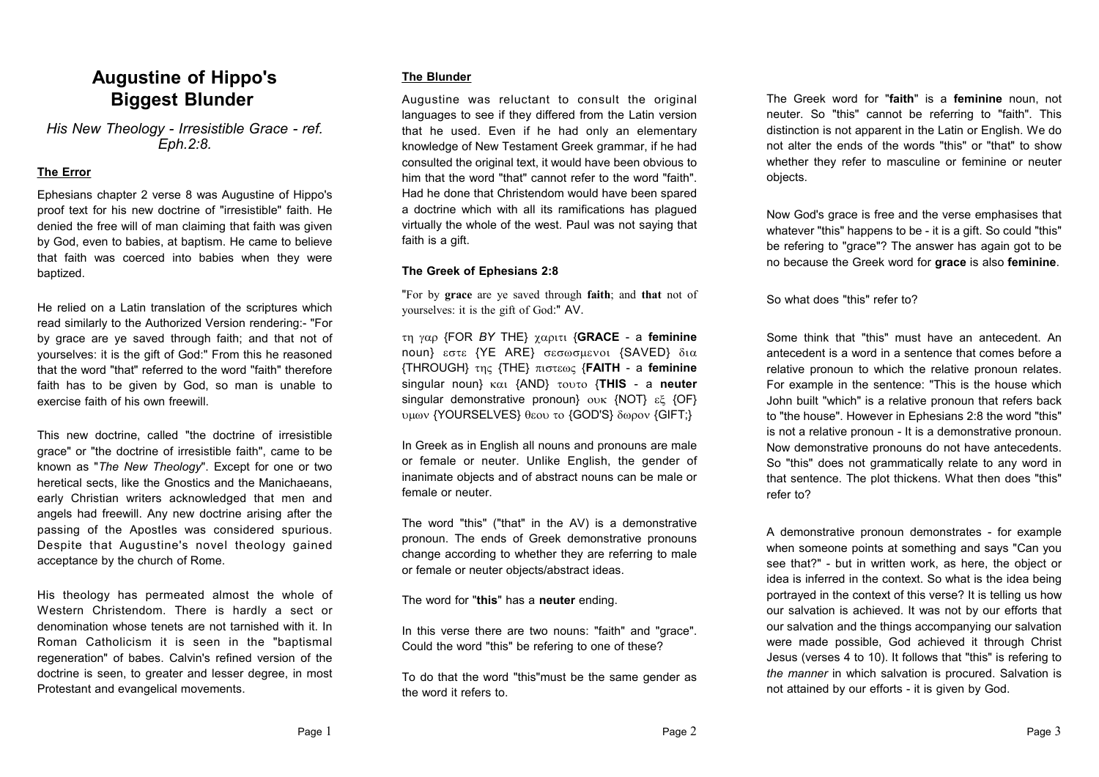# **Augustine of Hippo's Biggest Blunder**

*His New Theology - Irresistible Grace - ref. Eph.2:8.*

### **The Error**

Ephesians chapter 2 verse 8 was Augustine of Hippo's proof text for his new doctrine of "irresistible" faith. He denied the free will of man claiming that faith was given by God, even to babies, at baptism. He came to believe that faith was coerced into babies when they were baptized.

He relied on a Latin translation of the scriptures which read similarly to the Authorized Version rendering:- "For by grace are ye saved through faith; and that not of yourselves: it is the gift of God:" From this he reasoned that the word "that" referred to the word "faith" therefore faith has to be given by God, so man is unable to exercise faith of his own freewill.

This new doctrine, called "the doctrine of irresistible grace" or "the doctrine of irresistible faith", came to be known as "*The New Theology*". Except for one or two heretical sects, like the Gnostics and the Manichaeans, early Christian writers acknowledged that men and angels had freewill. Any new doctrine arising after the passing of the Apostles was considered spurious. Despite that Augustine's novel theology gained acceptance by the church of Rome.

His theology has permeated almost the whole of Western Christendom. There is hardly a sect or denomination whose tenets are not tarnished with it. In Roman Catholicism it is seen in the "baptismal regeneration" of babes. Calvin's refined version of the doctrine is seen, to greater and lesser degree, in most Protestant and evangelical movements.

# **The Blunder**

Augustine was reluctant to consult the original languages to see if they differed from the Latin version that he used. Even if he had only an elementary knowledge of New Testament Greek grammar, if he had consulted the original text, it would have been obvious to him that the word "that" cannot refer to the word "faith". Had he done that Christendom would have been spared a doctrine which with all its ramifications has plagued virtually the whole of the west. Paul was not saying that faith is a gift.

## **The Greek of Ephesians 2:8**

"For by **grace** are ye saved through **faith**; and **that** not of yourselves: it is the gift of God:" AV.

 {FOR *BY* THE} {**GRACE** - a **feminine** noun} εστε {YE ARE} σεσωσμενοι {SAVED} δια {THROUGH} {THE} {**FAITH** - a **feminine** singular noun} {AND} {**THIS** - a **neuter** singular demonstrative pronoun}  ${\rm out}$  {NOT}  ${\rm eV}$  {OF} υμων {YOURSELVES} θεου το {GOD'S} δωρον {GIFT;}

In Greek as in English all nouns and pronouns are male or female or neuter. Unlike English, the gender of inanimate objects and of abstract nouns can be male or female or neuter.

The word "this" ("that" in the AV) is a demonstrative pronoun. The ends of Greek demonstrative pronouns change according to whether they are referring to male or female or neuter objects/abstract ideas.

The word for "**this**" has a **neuter** ending.

In this verse there are two nouns: "faith" and "grace". Could the word "this" be refering to one of these?

To do that the word "this"must be the same gender as the word it refers to.

The Greek word for "**faith**" is a **feminine** noun, not neuter. So "this" cannot be referring to "faith". This distinction is not apparent in the Latin or English. We do not alter the ends of the words "this" or "that" to show whether they refer to masculine or feminine or neuter objects.

Now God's grace is free and the verse emphasises that whatever "this" happens to be - it is a gift. So could "this" be refering to "grace"? The answer has again got to be no because the Greek word for **grace** is also **feminine**.

So what does "this" refer to?

Some think that "this" must have an antecedent. An antecedent is a word in a sentence that comes before a relative pronoun to which the relative pronoun relates. For example in the sentence: "This is the house which John built "which" is a relative pronoun that refers back to "the house". However in Ephesians 2:8 the word "this" is not a relative pronoun - It is a demonstrative pronoun. Now demonstrative pronouns do not have antecedents. So "this" does not grammatically relate to any word in that sentence. The plot thickens. What then does "this" refer to?

A demonstrative pronoun demonstrates - for example when someone points at something and says "Can you see that?" - but in written work, as here, the object or idea is inferred in the context. So what is the idea being portrayed in the context of this verse? It is telling us how our salvation is achieved. It was not by our efforts that our salvation and the things accompanying our salvation were made possible, God achieved it through Christ Jesus (verses 4 to 10). It follows that "this" is refering to *the manner* in which salvation is procured. Salvation is not attained by our efforts - it is given by God.